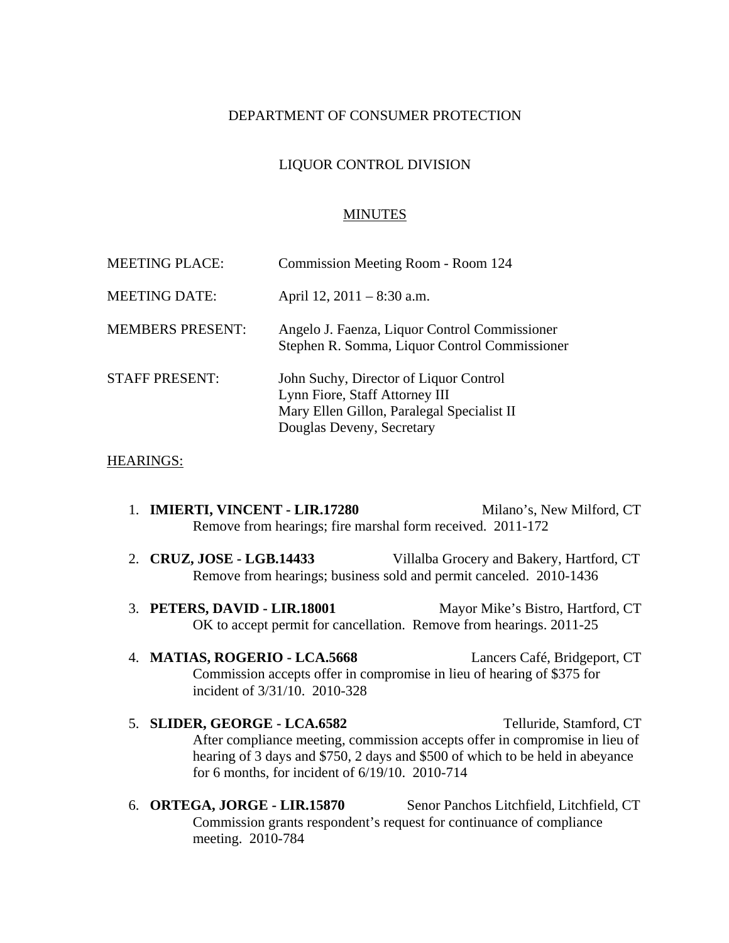## DEPARTMENT OF CONSUMER PROTECTION

## LIQUOR CONTROL DIVISION

#### MINUTES

| <b>MEETING PLACE:</b>   | Commission Meeting Room - Room 124                                                                                                                  |
|-------------------------|-----------------------------------------------------------------------------------------------------------------------------------------------------|
| <b>MEETING DATE:</b>    | April 12, $2011 - 8:30$ a.m.                                                                                                                        |
| <b>MEMBERS PRESENT:</b> | Angelo J. Faenza, Liquor Control Commissioner<br>Stephen R. Somma, Liquor Control Commissioner                                                      |
| <b>STAFF PRESENT:</b>   | John Suchy, Director of Liquor Control<br>Lynn Fiore, Staff Attorney III<br>Mary Ellen Gillon, Paralegal Specialist II<br>Douglas Deveny, Secretary |

#### HEARINGS:

- 1. **IMIERTI, VINCENT LIR.17280** Milano's, New Milford, CT Remove from hearings; fire marshal form received. 2011-172
- 2. **CRUZ, JOSE LGB.14433** Villalba Grocery and Bakery, Hartford, CT Remove from hearings; business sold and permit canceled. 2010-1436
- 3. **PETERS, DAVID LIR.18001** Mayor Mike's Bistro, Hartford, CT OK to accept permit for cancellation. Remove from hearings. 2011-25
- 4. **MATIAS, ROGERIO LCA.5668** Lancers Café, Bridgeport, CT Commission accepts offer in compromise in lieu of hearing of \$375 for incident of 3/31/10. 2010-328
- 5. **SLIDER, GEORGE LCA.6582** Telluride, Stamford, CT After compliance meeting, commission accepts offer in compromise in lieu of hearing of 3 days and \$750, 2 days and \$500 of which to be held in abeyance for 6 months, for incident of 6/19/10. 2010-714
- 6. **ORTEGA, JORGE LIR.15870** Senor Panchos Litchfield, Litchfield, CT Commission grants respondent's request for continuance of compliance meeting. 2010-784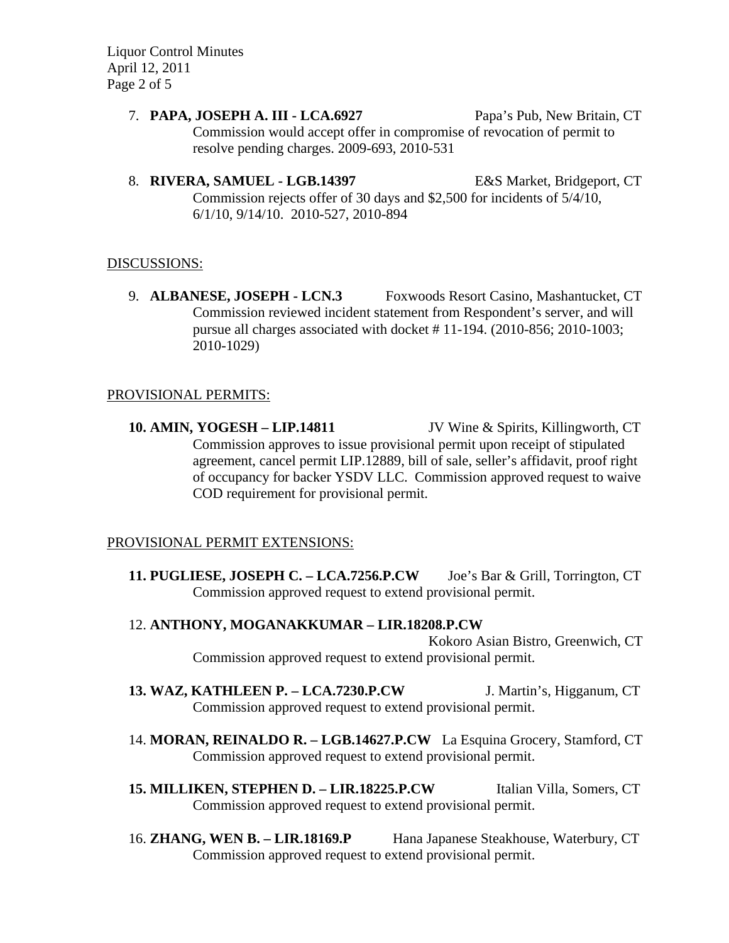Liquor Control Minutes April 12, 2011 Page 2 of 5

- 7. **PAPA, JOSEPH A. III LCA.6927** Papa's Pub, New Britain, CT Commission would accept offer in compromise of revocation of permit to resolve pending charges. 2009-693, 2010-531
- 8. **RIVERA, SAMUEL LGB.14397** E&S Market, Bridgeport, CT Commission rejects offer of 30 days and \$2,500 for incidents of 5/4/10, 6/1/10, 9/14/10. 2010-527, 2010-894

## DISCUSSIONS:

9. **ALBANESE, JOSEPH - LCN.3** Foxwoods Resort Casino, Mashantucket, CT Commission reviewed incident statement from Respondent's server, and will pursue all charges associated with docket # 11-194. (2010-856; 2010-1003; 2010-1029)

### PROVISIONAL PERMITS:

**10. AMIN, YOGESH – LIP.14811** JV Wine & Spirits, Killingworth, CT Commission approves to issue provisional permit upon receipt of stipulated agreement, cancel permit LIP.12889, bill of sale, seller's affidavit, proof right of occupancy for backer YSDV LLC. Commission approved request to waive COD requirement for provisional permit.

# PROVISIONAL PERMIT EXTENSIONS:

**11. PUGLIESE, JOSEPH C. – LCA.7256.P.CW** Joe's Bar & Grill, Torrington, CT Commission approved request to extend provisional permit.

### 12. **ANTHONY, MOGANAKKUMAR – LIR.18208.P.CW**

Kokoro Asian Bistro, Greenwich, CT Commission approved request to extend provisional permit.

- **13. WAZ, KATHLEEN P. LCA.7230.P.CW** J. Martin's, Higganum, CT Commission approved request to extend provisional permit.
- 14. **MORAN, REINALDO R. LGB.14627.P.CW** La Esquina Grocery, Stamford, CT Commission approved request to extend provisional permit.
- **15. MILLIKEN, STEPHEN D. LIR.18225.P.CW** Italian Villa, Somers, CT Commission approved request to extend provisional permit.
- 16. **ZHANG, WEN B. LIR.18169.P** Hana Japanese Steakhouse, Waterbury, CT Commission approved request to extend provisional permit.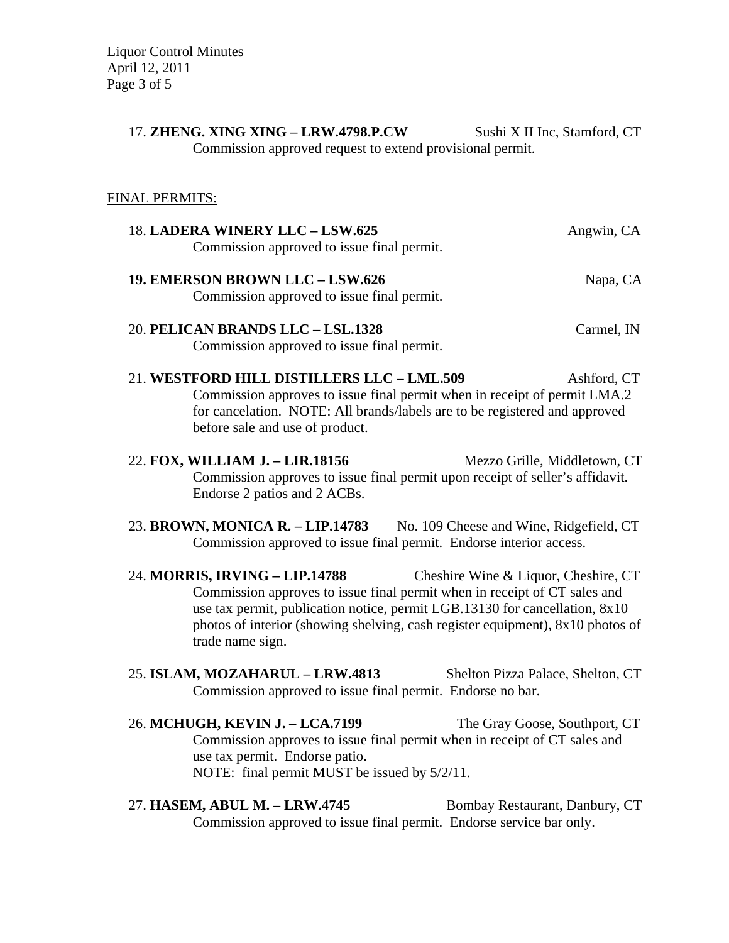Liquor Control Minutes April 12, 2011 Page 3 of 5

> 17. **ZHENG. XING XING – LRW.4798.P.CW** Sushi X II Inc, Stamford, CT Commission approved request to extend provisional permit.

# FINAL PERMITS:

| 18. LADERA WINERY LLC - LSW.625                                                                                                                                                                                                                                                                  | Angwin, CA                           |
|--------------------------------------------------------------------------------------------------------------------------------------------------------------------------------------------------------------------------------------------------------------------------------------------------|--------------------------------------|
| Commission approved to issue final permit.                                                                                                                                                                                                                                                       |                                      |
| 19. EMERSON BROWN LLC - LSW.626                                                                                                                                                                                                                                                                  | Napa, CA                             |
| Commission approved to issue final permit.                                                                                                                                                                                                                                                       |                                      |
| 20. PELICAN BRANDS LLC - LSL.1328                                                                                                                                                                                                                                                                | Carmel, IN                           |
| Commission approved to issue final permit.                                                                                                                                                                                                                                                       |                                      |
| 21. WESTFORD HILL DISTILLERS LLC - LML.509<br>Commission approves to issue final permit when in receipt of permit LMA.2<br>for cancelation. NOTE: All brands/labels are to be registered and approved<br>before sale and use of product.                                                         | Ashford, CT                          |
| 22. FOX, WILLIAM J. - LIR.18156<br>Commission approves to issue final permit upon receipt of seller's affidavit.<br>Endorse 2 patios and 2 ACBs.                                                                                                                                                 | Mezzo Grille, Middletown, CT         |
| 23. BROWN, MONICA R. - LIP.14783 No. 109 Cheese and Wine, Ridgefield, CT<br>Commission approved to issue final permit. Endorse interior access.                                                                                                                                                  |                                      |
| 24. MORRIS, IRVING - LIP.14788<br>Commission approves to issue final permit when in receipt of CT sales and<br>use tax permit, publication notice, permit LGB.13130 for cancellation, 8x10<br>photos of interior (showing shelving, cash register equipment), 8x10 photos of<br>trade name sign. | Cheshire Wine & Liquor, Cheshire, CT |
| 25. ISLAM, MOZAHARUL - LRW.4813<br>Commission approved to issue final permit. Endorse no bar.                                                                                                                                                                                                    | Shelton Pizza Palace, Shelton, CT    |
| 26. MCHUGH, KEVIN J. - LCA.7199                                                                                                                                                                                                                                                                  | The Gray Goose, Southport, CT        |
| Commission approves to issue final permit when in receipt of CT sales and                                                                                                                                                                                                                        |                                      |

27. **HASEM, ABUL M. – LRW.4745** Bombay Restaurant, Danbury, CT Commission approved to issue final permit. Endorse service bar only.

use tax permit. Endorse patio.

NOTE: final permit MUST be issued by 5/2/11.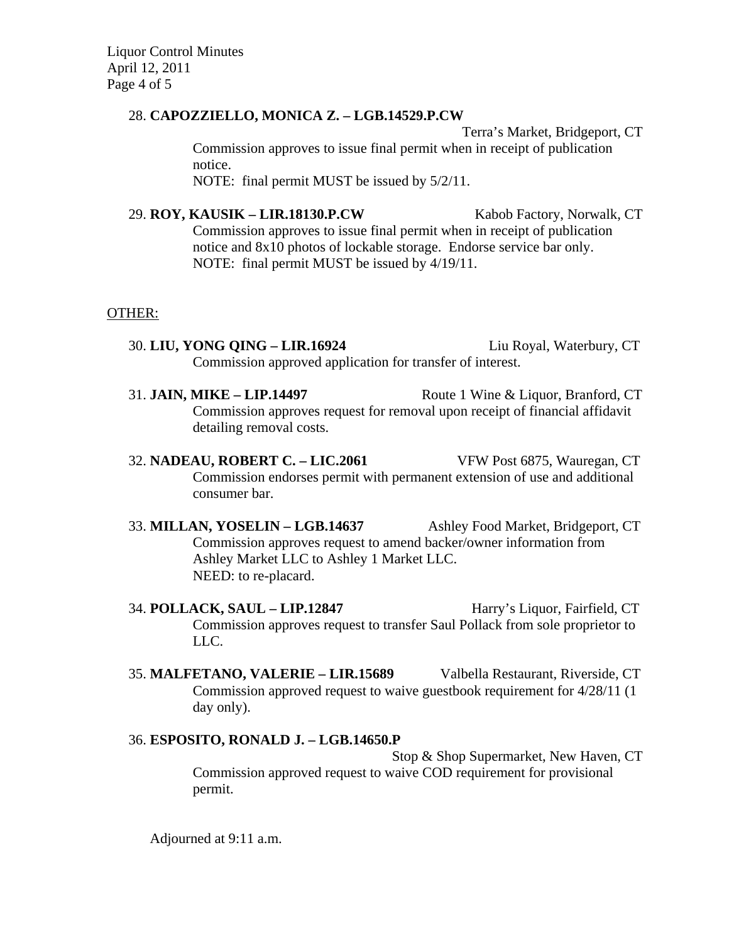Liquor Control Minutes April 12, 2011 Page 4 of 5

## 28. **CAPOZZIELLO, MONICA Z. – LGB.14529.P.CW**

Terra's Market, Bridgeport, CT Commission approves to issue final permit when in receipt of publication notice. NOTE: final permit MUST be issued by 5/2/11.

29. **ROY, KAUSIK – LIR.18130.P.CW** Kabob Factory, Norwalk, CT Commission approves to issue final permit when in receipt of publication notice and 8x10 photos of lockable storage. Endorse service bar only. NOTE: final permit MUST be issued by 4/19/11.

### OTHER:

- 30. **LIU, YONG QING LIR.16924** Liu Royal, Waterbury, CT Commission approved application for transfer of interest.
- 31. **JAIN, MIKE LIP.14497** Route 1 Wine & Liquor, Branford, CT Commission approves request for removal upon receipt of financial affidavit detailing removal costs.
- 32. **NADEAU, ROBERT C. LIC.2061** VFW Post 6875, Wauregan, CT Commission endorses permit with permanent extension of use and additional consumer bar.
- 33. **MILLAN, YOSELIN LGB.14637** Ashley Food Market, Bridgeport, CT Commission approves request to amend backer/owner information from Ashley Market LLC to Ashley 1 Market LLC. NEED: to re-placard.
- 34. **POLLACK, SAUL LIP.12847** Harry's Liquor, Fairfield, CT Commission approves request to transfer Saul Pollack from sole proprietor to LLC.
- 35. **MALFETANO, VALERIE LIR.15689** Valbella Restaurant, Riverside, CT Commission approved request to waive guestbook requirement for 4/28/11 (1 day only).

# 36. **ESPOSITO, RONALD J. – LGB.14650.P**

Stop & Shop Supermarket, New Haven, CT Commission approved request to waive COD requirement for provisional permit.

Adjourned at 9:11 a.m.